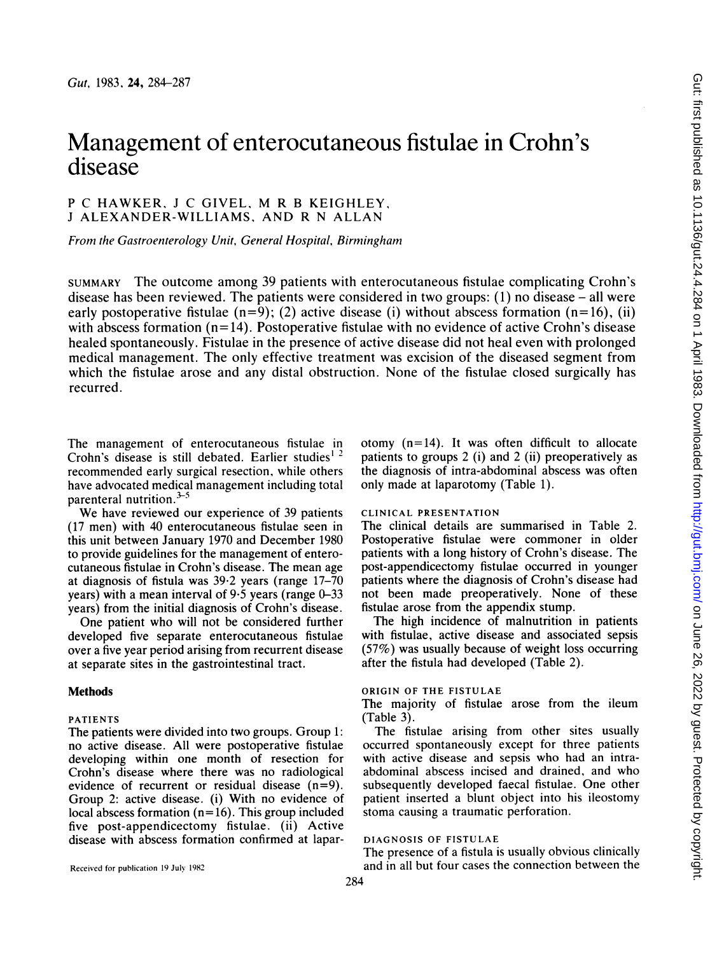# Management of enterocutaneous fistulae in Crohn's disease

## <sup>P</sup> C HAWKER, <sup>J</sup> C GIVEL, M R <sup>B</sup> KEIGHLEY, <sup>J</sup> ALEXANDER-WILLIAMS, AND R N ALLAN

From the Gastroenterology Unit, General Hospital, Birmingham

SUMMARY The outcome among 39 patients with enterocutaneous fistulae complicating Crohn's disease has been reviewed. The patients were considered in two groups: (1) no disease – all were early postoperative fistulae  $(n=9)$ ; (2) active disease (i) without abscess formation  $(n=16)$ , (ii) with abscess formation  $(n=14)$ . Postoperative fistulae with no evidence of active Crohn's disease healed spontaneously. Fistulae in the presence of active disease did not heal even with prolonged medical management. The only effective treatment was excision of the diseased segment from which the fistulae arose and any distal obstruction. None of the fistulae closed surgically has recurred.

The management of enterocutaneous fistulae in Crohn's disease is still debated. Earlier studies<sup>1</sup><sup>2</sup> recommended early surgical resection, while others have advocated medical management including total parenteral nutrition. $3-5$ 

We have reviewed our experience of <sup>39</sup> patients (17 men) with 40 enterocutaneous fistulae seen in this unit between January 1970 and December 1980 to provide guidelines for the management of enterocutaneous fistulae in Crohn's disease. The mean age at diagnosis of fistula was 39.2 years (range 17-70 years) with a mean interval of  $9.5$  years (range  $0-33$ years) from the initial diagnosis of Crohn's disease.

One patient who will not be considered further developed five separate enterocutaneous fistulae over a five year period arising from recurrent disease at separate sites in the gastrointestinal tract.

#### Methods

#### PATIENTS

The patients were divided into two groups. Group 1: no active disease. All were postoperative fistulae developing within one month of resection for Crohn's disease where there was no radiological evidence of recurrent or residual disease (n=9). Group 2: active disease. (i) With no evidence of local abscess formation  $(n=16)$ . This group included five post-appendicectomy fistulae. (ii) Active disease with abscess formation confirmed at lapar-

Received for publication 19 July 1982

otomy  $(n=14)$ . It was often difficult to allocate patients to groups 2 (i) and 2 (ii) preoperatively as the diagnosis of intra-abdominal abscess was often only made at laparotomy (Table 1).

## CLINICAL PRESENTATION

The clinical details are summarised in Table 2. Postoperative fistulae were commoner in older patients with a long history of Crohn's disease. The post-appendicectomy fistulae occurred in younger patients where the diagnosis of Crohn's disease had not been made preoperatively. None of these fistulae arose from the appendix stump.

The high incidence of malnutrition in patients with fistulae, active disease and associated sepsis (57%) was usually because of weight loss occurring after the fistula had developed (Table 2).

## ORIGIN OF THE FISTULAE

The majority of fistulae arose from the ileum (Table 3).

The fistulae arising from other sites usually occurred spontaneously except for three patients with active disease and sepsis who had an intraabdominal abscess incised and drained, and who subsequently developed faecal fistulae. One other patient inserted a blunt object into his ileostomy stoma causing a traumatic perforation.

#### DIAGNOSIS OF FISTULAE

The presence of a fistula is usually obvious clinically and in all but four cases the connection between the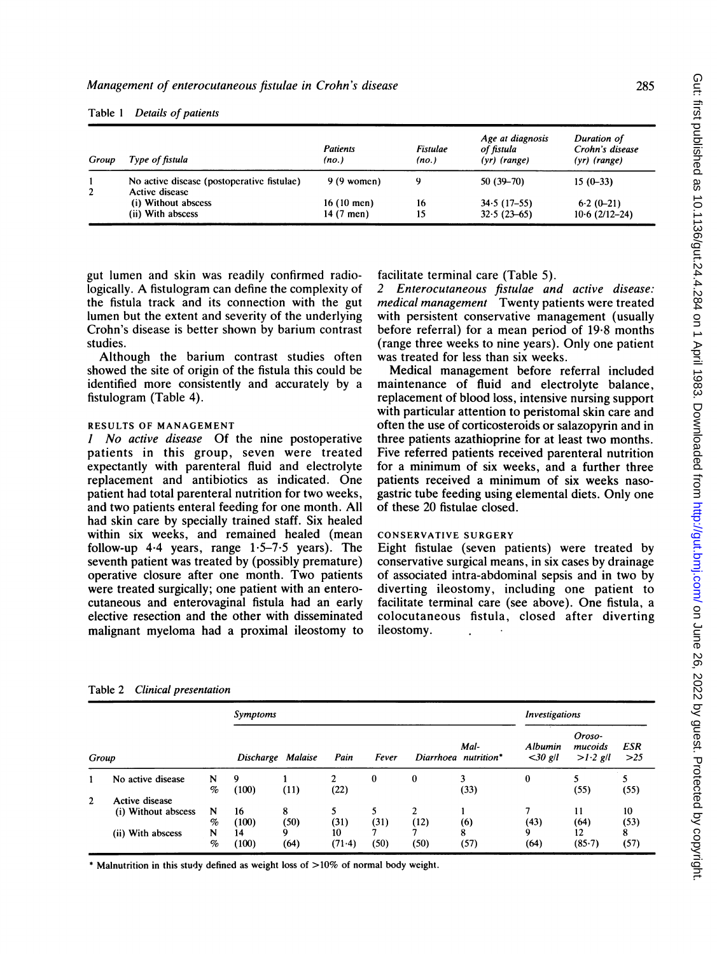| Group | Type of fistula                                              | <b>Patients</b><br>(no.) | <b>Fistulae</b><br>(no.) | Age at diagnosis<br>of fistula<br>$(yr)$ (range) | Duration of<br>Crohn's disease<br>$(yr)$ (range) |
|-------|--------------------------------------------------------------|--------------------------|--------------------------|--------------------------------------------------|--------------------------------------------------|
|       | No active disease (postoperative fistulae)<br>Active disease | $9(9$ women)             | ۹                        | $50(39-70)$                                      | $15(0-33)$                                       |
|       | (i) Without abscess                                          | $16(10$ men)             | 16                       | $34.5(17-55)$                                    | $6.2(0-21)$                                      |
|       | (ii) With abscess                                            | 14 (7 men)               | 15                       | $32.5(23-65)$                                    | $10.6(2/12-24)$                                  |

Table <sup>1</sup> Details of patients

gut lumen and skin was readily confirmed radiologically. A fistulogram can define the complexity of the fistula track and its connection with the gut lumen but the extent and severity of the underlying Crohn's disease is better shown by barium contrast studies.

Although the barium contrast studies often showed the site of origin of the fistula this could be identified more consistently and accurately by a fistulogram (Table 4).

## RESULTS OF MANAGEMENT

<sup>1</sup> No active disease Of the nine postoperative patients in this group, seven were treated expectantly with parenteral fluid and electrolyte replacement and antibiotics as indicated. One patient had total parenteral nutrition for two weeks, and two patients enteral feeding for one month. All had skin care by specially trained staff. Six healed within six weeks, and remained healed (mean follow-up  $4.4$  years, range  $1.5-7.5$  years). The seventh patient was treated by (possibly premature) operative closure after one month. Two patients were treated surgically; one patient with an enterocutaneous and enterovaginal fistula had an early elective resection and the other with disseminated malignant myeloma had a proximal ileostomy to facilitate terminal care (Table 5).

2 Enterocutaneous fistulae and active disease: medical management Twenty patients were treated with persistent conservative management (usually before referral) for a mean period of 19.8 months (range three weeks to nine years). Only one patient was treated for less than six weeks.

Medical management before referral included maintenance of fluid and electrolyte balance, replacement of blood loss, intensive nursing support with particular attention to peristomal skin care and often the use of corticosteroids or salazopyrin and in three patients azathioprine for at least two months. Five referred patients received parenteral nutrition for a minimum of six weeks, and a further three patients received a minimum of six weeks nasogastric tube feeding using elemental diets. Only one of these 20 fistulae closed.

## CONSERVATIVE SURGERY

Eight fistulae (seven patients) were treated by conservative surgical means, in six cases by drainage of associated intra-abdominal sepsis and in two by diverting ileostomy, including one patient to facilitate terminal care (see above). One fistula, a colocutaneous fistula, closed after diverting ileostomy.

|                |                                       |        | Symptoms          |           |                |           |           |                              | <i><b>Investigations</b></i> |                                 |                   |
|----------------|---------------------------------------|--------|-------------------|-----------|----------------|-----------|-----------|------------------------------|------------------------------|---------------------------------|-------------------|
| Group          |                                       |        | Discharge Malaise |           | Pain           | Fever     |           | Mal-<br>Diarrhoea nutrition* | Albumin<br>$<$ 30 g/l        | Oroso-<br>mucoids<br>$>1.2$ g/l | <b>ESR</b><br>>25 |
|                | No active disease                     | N<br>% | 9<br>(100)        | (11)      | 2<br>(22)      | 0         | 0         | 3<br>(33)                    | 0                            | (55)                            | (55)              |
| $\overline{2}$ | Active disease<br>(i) Without abscess | N<br>% | 16<br>(100)       | 8<br>(50) | (31)           | (31)      | 2<br>(12) | (6)                          | (43)                         | 11<br>(64)                      | 10<br>(53)        |
|                | (ii) With abscess                     | N<br>% | 14<br>(100)       | 9<br>(64) | 10<br>$(71-4)$ | ⇁<br>(50) | (50)      | 8<br>(57)                    | 9<br>(64)                    | 12<br>(85.7)                    | 8<br>(57)         |

Table 2 Clinical presentation

\* Malnutrition in this study defined as weight loss of >10% of normal body weight.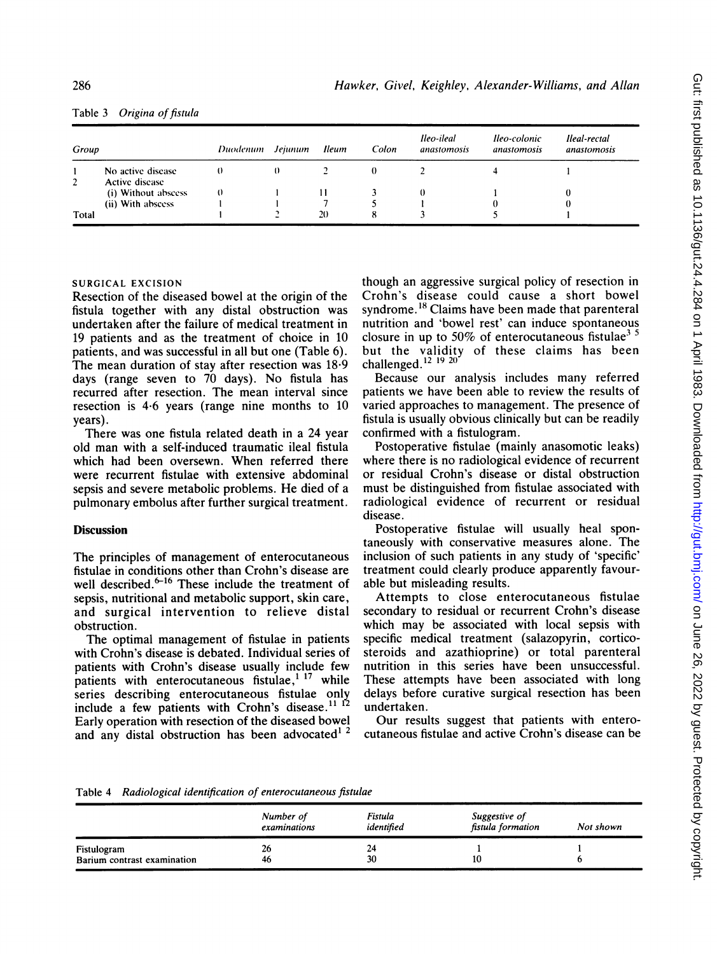| Table 3 |  | Origina of fistula |
|---------|--|--------------------|
|---------|--|--------------------|

| Group          |                                     | Duodenum Jejunum | Ileum | Colon | lleo-ileal<br>anastomosis | lleo-colonic<br>anastomosis | Ileal-rectal<br>anastomosis |
|----------------|-------------------------------------|------------------|-------|-------|---------------------------|-----------------------------|-----------------------------|
| $\overline{2}$ | No active disease<br>Active disease |                  |       |       |                           |                             |                             |
|                | (i) Without abseess                 |                  |       |       |                           |                             |                             |
|                | (ii) With abscess                   |                  |       |       |                           |                             |                             |
| Total          |                                     |                  | 20    |       |                           |                             |                             |

## SURGICAL EXCISION

Resection of the diseased bowel at the origin of the fistula together with any distal obstruction was undertaken after the failure of medical treatment in 19 patients and as the treatment of choice in 10 patients, and was successful in all but one (Table 6). The mean duration of stay after resection was 18.9 days (range seven to 70 days). No fistula has recurred after resection. The mean interval since resection is 4-6 years (range nine months to 10 years).

There was one fistula related death in a 24 year old man with a self-induced traumatic ileal fistula which had been oversewn. When referred there were recurrent fistulae with extensive abdominal sepsis and severe metabolic problems. He died of a pulmonary embolus after further surgical treatment.

## **Discussion**

The principles of management of enterocutaneous fistulae in conditions other than Crohn's disease are well described. $6-16$  These include the treatment of sepsis, nutritional and metabolic support, skin care, and surgical intervention to relieve distal obstruction.

The optimal management of fistulae in patients with Crohn's disease is debated. Individual series of patients with Crohn's disease usually include few patients with enterocutaneous fistulae, $117$  while series describing enterocutaneous fistulae only include a few patients with Crohn's disease.<sup>11</sup> Early operation with resection of the diseased bowel and any distal obstruction has been advocated<sup>12</sup>

though an aggressive surgical policy of resection in Crohn's disease could cause a short bowel syndrome.<sup>18</sup> Claims have been made that parenteral nutrition and 'bowel rest' can induce spontaneous closure in up to 50% of enterocutaneous fistulae<sup>35</sup> but the validity of these claims has been challenged. $12$   $19$   $20$ 

Because our analysis includes many referred patients we have been able to review the results of varied approaches to management. The presence of fistula is usually obvious clinically but can be readily confirmed with a fistulogram.

Postoperative fistulae (mainly anasomotic leaks) where there is no radiological evidence of recurrent or residual Crohn's disease or distal obstruction must be distinguished from fistulae associated with radiological evidence of recurrent or residual disease.

Postoperative fistulae will usually heal spontaneously with conservative measures alone. The inclusion of such patients in any study of 'specific' treatment could clearly produce apparently favourable but misleading results.

Attempts to close enterocutaneous fistulae secondary to residual or recurrent Crohn's disease which may be associated with local sepsis with specific medical treatment (salazopyrin, corticosteroids and azathioprine) or total parenteral nutrition in this series have been unsuccessful. These attempts have been associated with long delays before curative surgical resection has been undertaken.

Our results suggest that patients with enterocutaneous fistulae and active Crohn's disease can be

Table 4 Radiological identification of enterocutaneous fistulae

|                                            | Number of<br>examinations | Fistula<br>identified | Suggestive of<br>fistula formation | Not shown |
|--------------------------------------------|---------------------------|-----------------------|------------------------------------|-----------|
| Fistulogram<br>Barium contrast examination | 26<br>46                  | 24<br>30              | 10                                 |           |